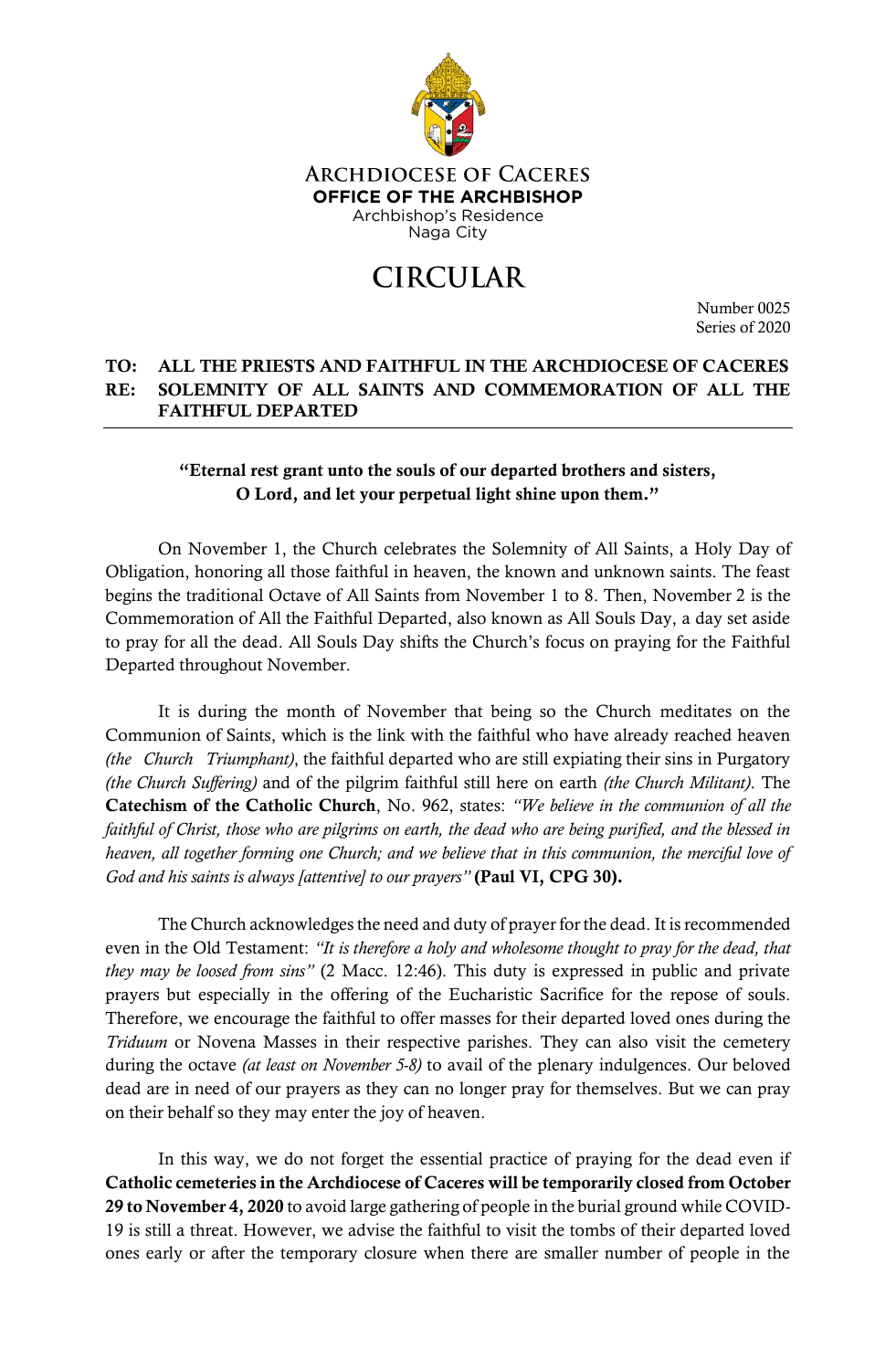

## **CIRCULAR**

Number 0025 Series of 2020

## TO: ALL THE PRIESTS AND FAITHFUL IN THE ARCHDIOCESE OF CACERES RE: SOLEMNITY OF ALL SAINTS AND COMMEMORATION OF ALL THE FAITHFUL DEPARTED

## "Eternal rest grant unto the souls of our departed brothers and sisters, O Lord, and let your perpetual light shine upon them."

On November 1, the Church celebrates the Solemnity of All Saints, a Holy Day of Obligation, honoring all those faithful in heaven, the known and unknown saints. The feast begins the traditional Octave of All Saints from November 1 to 8. Then, November 2 is the Commemoration of All the Faithful Departed, also known as All Souls Day, a day set aside to pray for all the dead. All Souls Day shifts the Church's focus on praying for the Faithful Departed throughout November.

It is during the month of November that being so the Church meditates on the Communion of Saints, which is the link with the faithful who have already reached heaven *(the Church Triumphant)*, the faithful departed who are still expiating their sins in Purgatory *(the Church Suffering)* and of the pilgrim faithful still here on earth *(the Church Militant)*. The Catechism of the Catholic Church, No. 962, states: *"We believe in the communion of all the faithful of Christ, those who are pilgrims on earth, the dead who are being purified, and the blessed in heaven, all together forming one Church; and we believe that in this communion, the merciful love of God and his saints is always [attentive] to our prayers"* (Paul VI, CPG 30).

The Church acknowledges the need and duty of prayer for the dead. It is recommended even in the Old Testament: *"It is therefore a holy and wholesome thought to pray for the dead, that they may be loosed from sins"* (2 Macc. 12:46). This duty is expressed in public and private prayers but especially in the offering of the Eucharistic Sacrifice for the repose of souls. Therefore, we encourage the faithful to offer masses for their departed loved ones during the *Triduum* or Novena Masses in their respective parishes. They can also visit the cemetery during the octave *(at least on November 5-8)* to avail of the plenary indulgences. Our beloved dead are in need of our prayers as they can no longer pray for themselves. But we can pray on their behalf so they may enter the joy of heaven.

In this way, we do not forget the essential practice of praying for the dead even if Catholic cemeteries in the Archdiocese of Caceres will be temporarily closed from October 29 to November 4, 2020 to avoid large gathering of people in the burial ground while COVID-19 is still a threat. However, we advise the faithful to visit the tombs of their departed loved ones early or after the temporary closure when there are smaller number of people in the